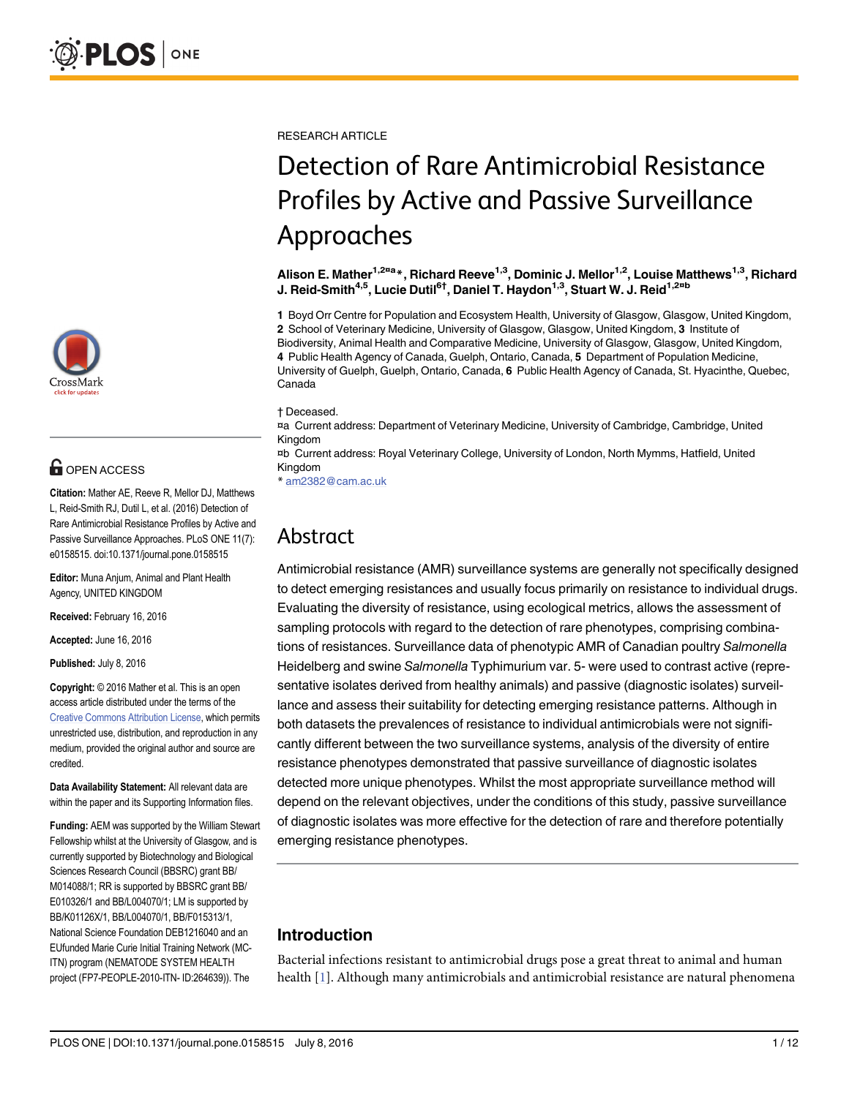

# **G** OPEN ACCESS

Citation: Mather AE, Reeve R, Mellor DJ, Matthews L, Reid-Smith RJ, Dutil L, et al. (2016) Detection of Rare Antimicrobial Resistance Profiles by Active and Passive Surveillance Approaches. PLoS ONE 11(7): e0158515. doi:10.1371/journal.pone.0158515

Editor: Muna Anjum, Animal and Plant Health Agency, UNITED KINGDOM

Received: February 16, 2016

Accepted: June 16, 2016

Published: July 8, 2016

Copyright: © 2016 Mather et al. This is an open access article distributed under the terms of the [Creative Commons Attribution License,](http://creativecommons.org/licenses/by/4.0/) which permits unrestricted use, distribution, and reproduction in any medium, provided the original author and source are credited.

Data Availability Statement: All relevant data are within the paper and its Supporting Information files.

Funding: AEM was supported by the William Stewart Fellowship whilst at the University of Glasgow, and is currently supported by Biotechnology and Biological Sciences Research Council (BBSRC) grant BB/ M014088/1; RR is supported by BBSRC grant BB/ E010326/1 and BB/L004070/1; LM is supported by BB/K01126X/1, BB/L004070/1, BB/F015313/1, National Science Foundation DEB1216040 and an EUfunded Marie Curie Initial Training Network (MC-ITN) program (NEMATODE SYSTEM HEALTH project (FP7-PEOPLE-2010-ITN- ID:264639)). The

<span id="page-0-0"></span>RESEARCH ARTICLE

# Detection of Rare Antimicrobial Resistance Profiles by Active and Passive Surveillance Approaches

Alison E. Mather<sup>1,2¤a</sup>\*, Richard Reeve<sup>1,3</sup>, Dominic J. Mellor<sup>1,2</sup>, Louise Matthews<sup>1,3</sup>, Richard J. Reid-Smith<sup>4,5</sup>, Lucie Dutil<sup>6†</sup>, Daniel T. Haydon<sup>1,3</sup>, Stuart W. J. Reid<sup>1,2¤b</sup>

1 Boyd Orr Centre for Population and Ecosystem Health, University of Glasgow, Glasgow, United Kingdom, 2 School of Veterinary Medicine, University of Glasgow, Glasgow, United Kingdom, 3 Institute of Biodiversity, Animal Health and Comparative Medicine, University of Glasgow, Glasgow, United Kingdom, 4 Public Health Agency of Canada, Guelph, Ontario, Canada, 5 Department of Population Medicine, University of Guelph, Guelph, Ontario, Canada, 6 Public Health Agency of Canada, St. Hyacinthe, Quebec, Canada

#### † Deceased.

¤a Current address: Department of Veterinary Medicine, University of Cambridge, Cambridge, United Kingdom

¤b Current address: Royal Veterinary College, University of London, North Mymms, Hatfield, United Kingdom

\* am2382@cam.ac.uk

# Abstract

Antimicrobial resistance (AMR) surveillance systems are generally not specifically designed to detect emerging resistances and usually focus primarily on resistance to individual drugs. Evaluating the diversity of resistance, using ecological metrics, allows the assessment of sampling protocols with regard to the detection of rare phenotypes, comprising combinations of resistances. Surveillance data of phenotypic AMR of Canadian poultry Salmonella Heidelberg and swine Salmonella Typhimurium var. 5- were used to contrast active (representative isolates derived from healthy animals) and passive (diagnostic isolates) surveillance and assess their suitability for detecting emerging resistance patterns. Although in both datasets the prevalences of resistance to individual antimicrobials were not significantly different between the two surveillance systems, analysis of the diversity of entire resistance phenotypes demonstrated that passive surveillance of diagnostic isolates detected more unique phenotypes. Whilst the most appropriate surveillance method will depend on the relevant objectives, under the conditions of this study, passive surveillance of diagnostic isolates was more effective for the detection of rare and therefore potentially emerging resistance phenotypes.

# Introduction

Bacterial infections resistant to antimicrobial drugs pose a great threat to animal and human health [\[1](#page-10-0)]. Although many antimicrobials and antimicrobial resistance are natural phenomena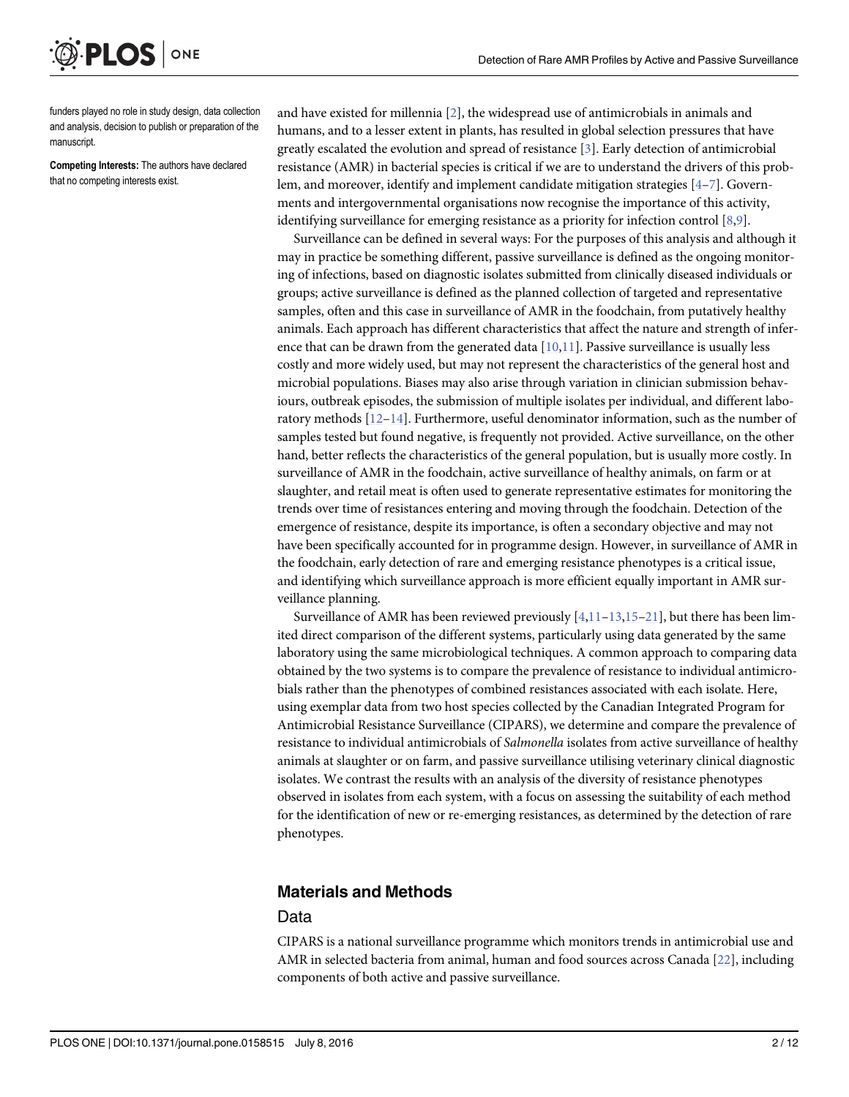funders played no role in study design, data collection and analysis, decision to publish or preparation of the manuscript.

ONE

<span id="page-1-0"></span>**PLOS** I

Competing Interests: The authors have declared that no competing interests exist.

and have existed for millennia [[2\]](#page-10-0), the widespread use of antimicrobials in animals and humans, and to a lesser extent in plants, has resulted in global selection pressures that have greatly escalated the evolution and spread of resistance [[3\]](#page-10-0). Early detection of antimicrobial resistance (AMR) in bacterial species is critical if we are to understand the drivers of this problem, and moreover, identify and implement candidate mitigation strategies [[4](#page-10-0)–[7](#page-10-0)]. Governments and intergovernmental organisations now recognise the importance of this activity, identifying surveillance for emerging resistance as a priority for infection control  $[8,9]$ .

Surveillance can be defined in several ways: For the purposes of this analysis and although it may in practice be something different, passive surveillance is defined as the ongoing monitoring of infections, based on diagnostic isolates submitted from clinically diseased individuals or groups; active surveillance is defined as the planned collection of targeted and representative samples, often and this case in surveillance of AMR in the foodchain, from putatively healthy animals. Each approach has different characteristics that affect the nature and strength of inference that can be drawn from the generated data  $[10,11]$  $[10,11]$ . Passive surveillance is usually less costly and more widely used, but may not represent the characteristics of the general host and microbial populations. Biases may also arise through variation in clinician submission behaviours, outbreak episodes, the submission of multiple isolates per individual, and different laboratory methods  $[12-14]$  $[12-14]$  $[12-14]$  $[12-14]$ . Furthermore, useful denominator information, such as the number of samples tested but found negative, is frequently not provided. Active surveillance, on the other hand, better reflects the characteristics of the general population, but is usually more costly. In surveillance of AMR in the foodchain, active surveillance of healthy animals, on farm or at slaughter, and retail meat is often used to generate representative estimates for monitoring the trends over time of resistances entering and moving through the foodchain. Detection of the emergence of resistance, despite its importance, is often a secondary objective and may not have been specifically accounted for in programme design. However, in surveillance of AMR in the foodchain, early detection of rare and emerging resistance phenotypes is a critical issue, and identifying which surveillance approach is more efficient equally important in AMR surveillance planning.

Surveillance of AMR has been reviewed previously  $[4,11-13,15-21]$  $[4,11-13,15-21]$  $[4,11-13,15-21]$  $[4,11-13,15-21]$  $[4,11-13,15-21]$  $[4,11-13,15-21]$ , but there has been limited direct comparison of the different systems, particularly using data generated by the same laboratory using the same microbiological techniques. A common approach to comparing data obtained by the two systems is to compare the prevalence of resistance to individual antimicrobials rather than the phenotypes of combined resistances associated with each isolate. Here, using exemplar data from two host species collected by the Canadian Integrated Program for Antimicrobial Resistance Surveillance (CIPARS), we determine and compare the prevalence of resistance to individual antimicrobials of Salmonella isolates from active surveillance of healthy animals at slaughter or on farm, and passive surveillance utilising veterinary clinical diagnostic isolates. We contrast the results with an analysis of the diversity of resistance phenotypes observed in isolates from each system, with a focus on assessing the suitability of each method for the identification of new or re-emerging resistances, as determined by the detection of rare phenotypes.

#### Materials and Methods

#### Data

CIPARS is a national surveillance programme which monitors trends in antimicrobial use and AMR in selected bacteria from animal, human and food sources across Canada [\[22](#page-10-0)], including components of both active and passive surveillance.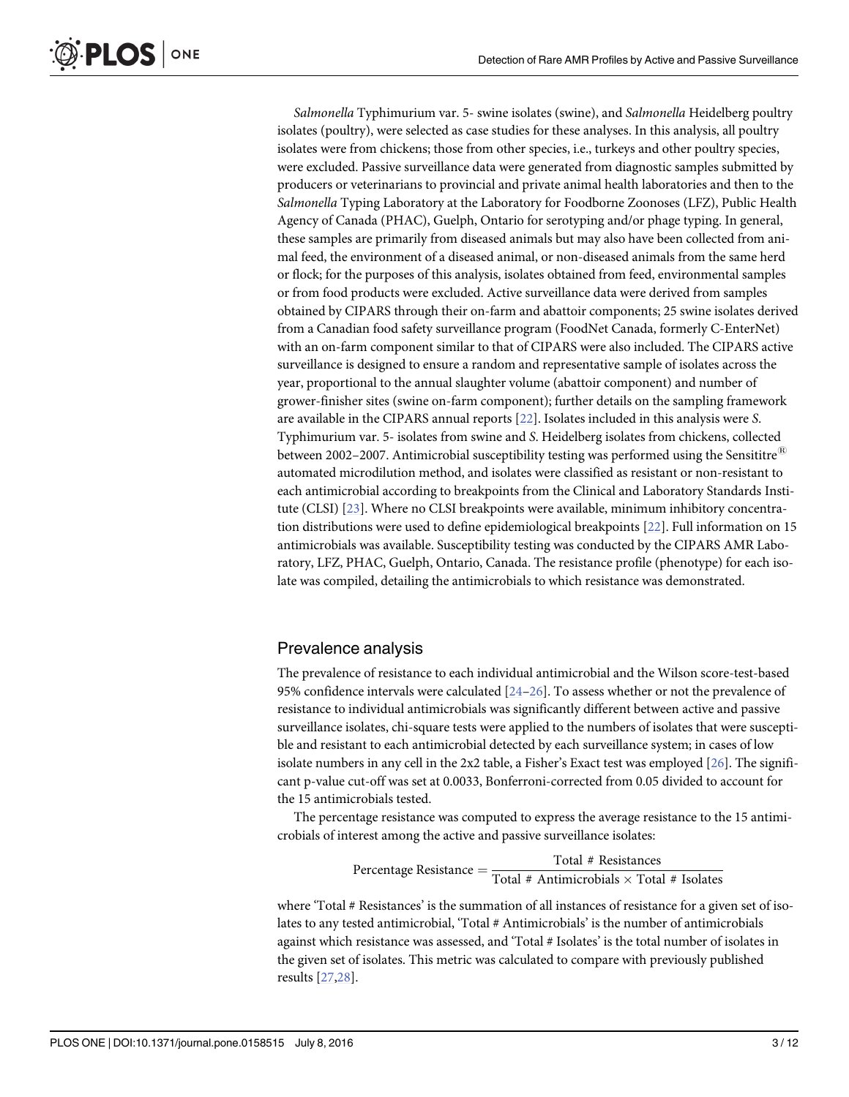<span id="page-2-0"></span>PLOS ONE

Salmonella Typhimurium var. 5- swine isolates (swine), and Salmonella Heidelberg poultry isolates (poultry), were selected as case studies for these analyses. In this analysis, all poultry isolates were from chickens; those from other species, i.e., turkeys and other poultry species, were excluded. Passive surveillance data were generated from diagnostic samples submitted by producers or veterinarians to provincial and private animal health laboratories and then to the Salmonella Typing Laboratory at the Laboratory for Foodborne Zoonoses (LFZ), Public Health Agency of Canada (PHAC), Guelph, Ontario for serotyping and/or phage typing. In general, these samples are primarily from diseased animals but may also have been collected from animal feed, the environment of a diseased animal, or non-diseased animals from the same herd or flock; for the purposes of this analysis, isolates obtained from feed, environmental samples or from food products were excluded. Active surveillance data were derived from samples obtained by CIPARS through their on-farm and abattoir components; 25 swine isolates derived from a Canadian food safety surveillance program (FoodNet Canada, formerly C-EnterNet) with an on-farm component similar to that of CIPARS were also included. The CIPARS active surveillance is designed to ensure a random and representative sample of isolates across the year, proportional to the annual slaughter volume (abattoir component) and number of grower-finisher sites (swine on-farm component); further details on the sampling framework are available in the CIPARS annual reports [[22\]](#page-10-0). Isolates included in this analysis were S. Typhimurium var. 5- isolates from swine and S. Heidelberg isolates from chickens, collected between 2002–2007. Antimicrobial susceptibility testing was performed using the Sensititre<sup> $\mathfrak{B}$ </sup> automated microdilution method, and isolates were classified as resistant or non-resistant to each antimicrobial according to breakpoints from the Clinical and Laboratory Standards Institute (CLSI) [\[23\]](#page-10-0). Where no CLSI breakpoints were available, minimum inhibitory concentration distributions were used to define epidemiological breakpoints [\[22\]](#page-10-0). Full information on 15 antimicrobials was available. Susceptibility testing was conducted by the CIPARS AMR Laboratory, LFZ, PHAC, Guelph, Ontario, Canada. The resistance profile (phenotype) for each isolate was compiled, detailing the antimicrobials to which resistance was demonstrated.

#### Prevalence analysis

The prevalence of resistance to each individual antimicrobial and the Wilson score-test-based 95% confidence intervals were calculated  $[24-26]$  $[24-26]$  $[24-26]$ . To assess whether or not the prevalence of resistance to individual antimicrobials was significantly different between active and passive surveillance isolates, chi-square tests were applied to the numbers of isolates that were susceptible and resistant to each antimicrobial detected by each surveillance system; in cases of low isolate numbers in any cell in the 2x2 table, a Fisher's Exact test was employed [[26](#page-10-0)]. The significant p-value cut-off was set at 0.0033, Bonferroni-corrected from 0.05 divided to account for the 15 antimicrobials tested.

The percentage resistance was computed to express the average resistance to the 15 antimicrobials of interest among the active and passive surveillance isolates:

Percentage Resistance  $=$   $\frac{\text{Total # Resistances}}{\text{Total # Antimicrobials} \times \text{Total # Isolates}}$ 

where 'Total # Resistances' is the summation of all instances of resistance for a given set of isolates to any tested antimicrobial, 'Total # Antimicrobials' is the number of antimicrobials against which resistance was assessed, and 'Total # Isolates' is the total number of isolates in the given set of isolates. This metric was calculated to compare with previously published results [\[27,28\]](#page-11-0).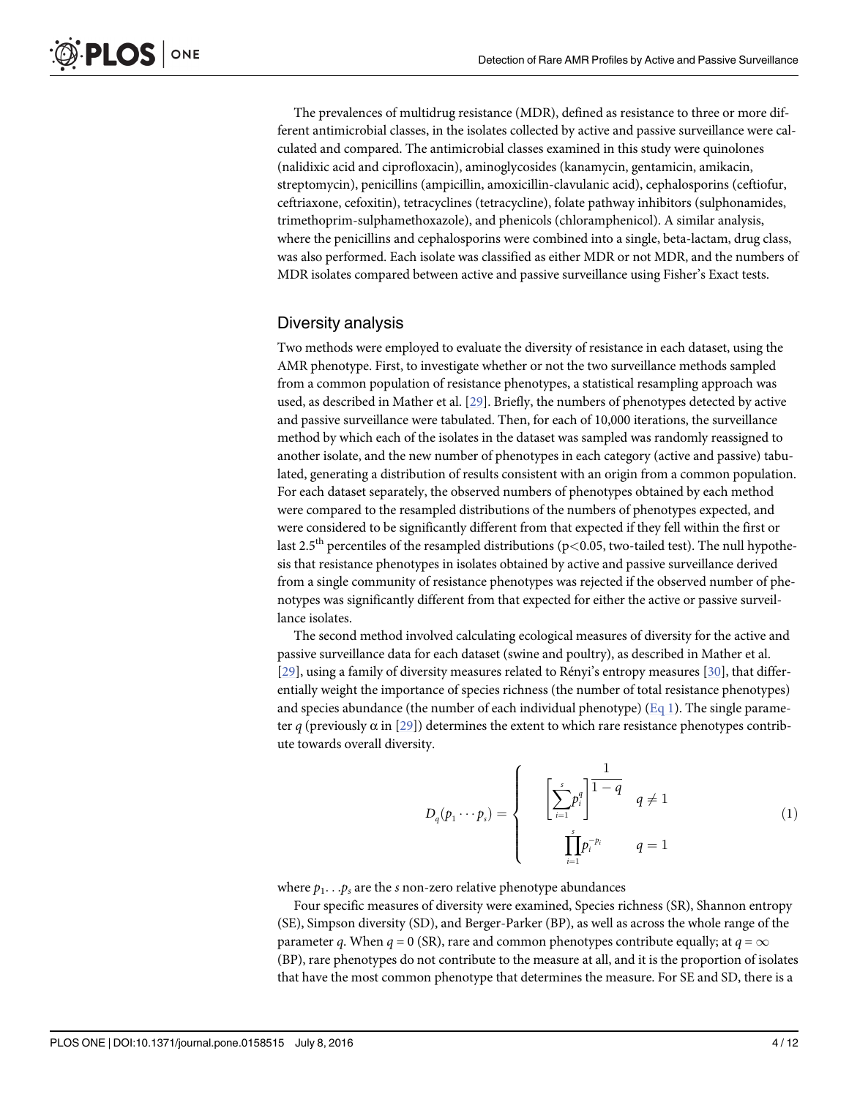<span id="page-3-0"></span>The prevalences of multidrug resistance (MDR), defined as resistance to three or more different antimicrobial classes, in the isolates collected by active and passive surveillance were calculated and compared. The antimicrobial classes examined in this study were quinolones (nalidixic acid and ciprofloxacin), aminoglycosides (kanamycin, gentamicin, amikacin, streptomycin), penicillins (ampicillin, amoxicillin-clavulanic acid), cephalosporins (ceftiofur, ceftriaxone, cefoxitin), tetracyclines (tetracycline), folate pathway inhibitors (sulphonamides, trimethoprim-sulphamethoxazole), and phenicols (chloramphenicol). A similar analysis, where the penicillins and cephalosporins were combined into a single, beta-lactam, drug class, was also performed. Each isolate was classified as either MDR or not MDR, and the numbers of MDR isolates compared between active and passive surveillance using Fisher's Exact tests.

## Diversity analysis

Two methods were employed to evaluate the diversity of resistance in each dataset, using the AMR phenotype. First, to investigate whether or not the two surveillance methods sampled from a common population of resistance phenotypes, a statistical resampling approach was used, as described in Mather et al. [[29](#page-11-0)]. Briefly, the numbers of phenotypes detected by active and passive surveillance were tabulated. Then, for each of 10,000 iterations, the surveillance method by which each of the isolates in the dataset was sampled was randomly reassigned to another isolate, and the new number of phenotypes in each category (active and passive) tabulated, generating a distribution of results consistent with an origin from a common population. For each dataset separately, the observed numbers of phenotypes obtained by each method were compared to the resampled distributions of the numbers of phenotypes expected, and were considered to be significantly different from that expected if they fell within the first or last 2.5<sup>th</sup> percentiles of the resampled distributions ( $p$ <0.05, two-tailed test). The null hypothesis that resistance phenotypes in isolates obtained by active and passive surveillance derived from a single community of resistance phenotypes was rejected if the observed number of phenotypes was significantly different from that expected for either the active or passive surveillance isolates.

The second method involved calculating ecological measures of diversity for the active and passive surveillance data for each dataset (swine and poultry), as described in Mather et al. [\[29](#page-11-0)], using a family of diversity measures related to Rényi's entropy measures [[30](#page-11-0)], that differentially weight the importance of species richness (the number of total resistance phenotypes) and species abundance (the number of each individual phenotype)  $(Eq_1)$ . The single parameter q (previously  $\alpha$  in [\[29](#page-11-0)]) determines the extent to which rare resistance phenotypes contribute towards overall diversity.

$$
D_q(p_1 \cdots p_s) = \begin{cases} \left[ \sum_{i=1}^s p_i^q \right]^{1-q} & q \neq 1 \\ \prod_{i=1}^s p_i^{-p_i} & q = 1 \end{cases}
$$
 (1)

where  $p_1 \nvert p_s$  are the s non-zero relative phenotype abundances

Four specific measures of diversity were examined, Species richness (SR), Shannon entropy (SE), Simpson diversity (SD), and Berger-Parker (BP), as well as across the whole range of the parameter q. When  $q = 0$  (SR), rare and common phenotypes contribute equally; at  $q = \infty$ (BP), rare phenotypes do not contribute to the measure at all, and it is the proportion of isolates that have the most common phenotype that determines the measure. For SE and SD, there is a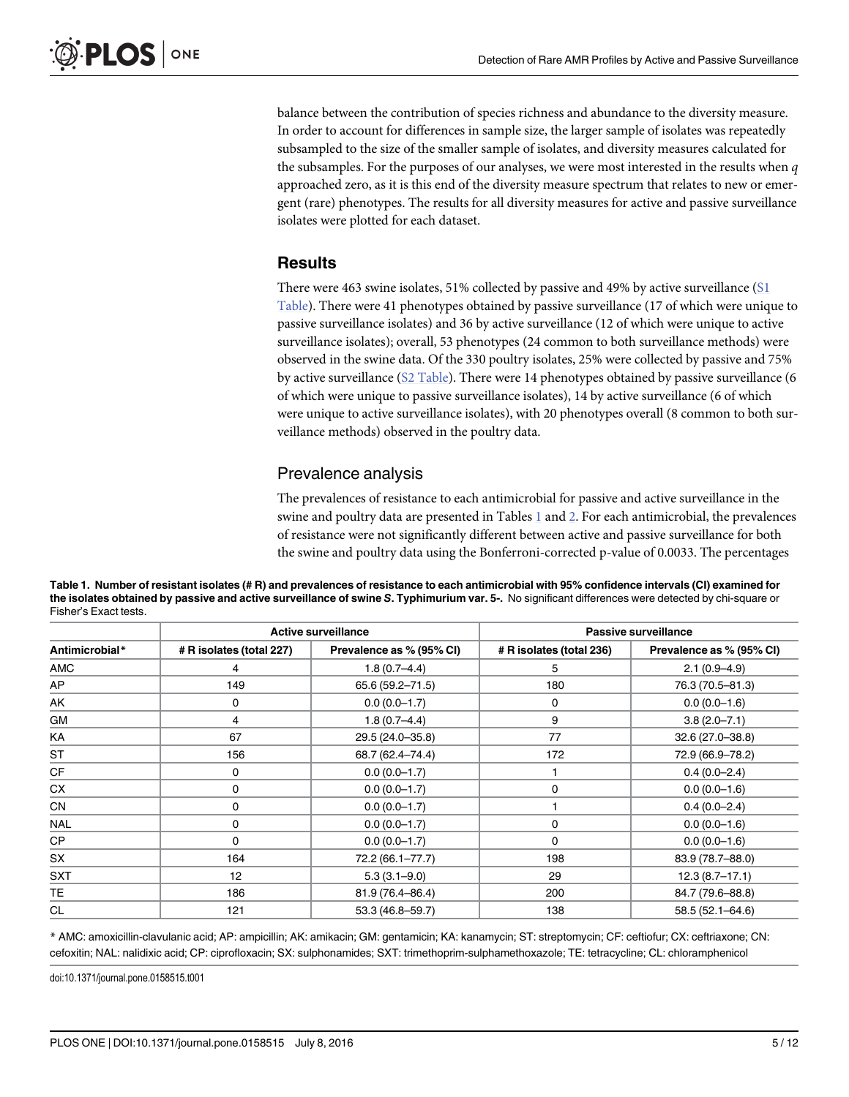<span id="page-4-0"></span>balance between the contribution of species richness and abundance to the diversity measure. In order to account for differences in sample size, the larger sample of isolates was repeatedly subsampled to the size of the smaller sample of isolates, and diversity measures calculated for the subsamples. For the purposes of our analyses, we were most interested in the results when  $q$ approached zero, as it is this end of the diversity measure spectrum that relates to new or emergent (rare) phenotypes. The results for all diversity measures for active and passive surveillance isolates were plotted for each dataset.

#### Results

There were 463 swine isolates, 51% collected by passive and 49% by active surveillance  $(S<sub>1</sub>)$ [Table](#page-9-0)). There were 41 phenotypes obtained by passive surveillance (17 of which were unique to passive surveillance isolates) and 36 by active surveillance (12 of which were unique to active surveillance isolates); overall, 53 phenotypes (24 common to both surveillance methods) were observed in the swine data. Of the 330 poultry isolates, 25% were collected by passive and 75% by active surveillance  $(S2 \text{ Table})$ . There were 14 phenotypes obtained by passive surveillance (6 of which were unique to passive surveillance isolates), 14 by active surveillance (6 of which were unique to active surveillance isolates), with 20 phenotypes overall (8 common to both surveillance methods) observed in the poultry data.

#### Prevalence analysis

The prevalences of resistance to each antimicrobial for passive and active surveillance in the swine and poultry data are presented in Tables  $1$  and  $2$ . For each antimicrobial, the prevalences of resistance were not significantly different between active and passive surveillance for both the swine and poultry data using the Bonferroni-corrected p-value of 0.0033. The percentages

| Antimicrobial* | <b>Active surveillance</b> |                          | Passive surveillance     |                          |
|----------------|----------------------------|--------------------------|--------------------------|--------------------------|
|                | # R isolates (total 227)   | Prevalence as % (95% CI) | # R isolates (total 236) | Prevalence as % (95% CI) |
| <b>AMC</b>     | 4                          | $1.8(0.7 - 4.4)$         | 5                        | $2.1(0.9 - 4.9)$         |
| AP             | 149                        | 65.6 (59.2-71.5)         | 180                      | 76.3 (70.5-81.3)         |
| AK             | 0                          | $0.0(0.0-1.7)$           | 0                        | $0.0(0.0-1.6)$           |
| GM             | 4                          | $1.8(0.7 - 4.4)$         | 9                        | $3.8(2.0 - 7.1)$         |
| КA             | 67                         | 29.5 (24.0-35.8)         | 77                       | 32.6 (27.0-38.8)         |
| <b>ST</b>      | 156                        | 68.7 (62.4-74.4)         | 172                      | 72.9 (66.9-78.2)         |
| CF             | 0                          | $0.0(0.0-1.7)$           | 1                        | $0.4(0.0 - 2.4)$         |
| СX             | 0                          | $0.0(0.0-1.7)$           | 0                        | $0.0(0.0-1.6)$           |
| <b>CN</b>      | 0                          | $0.0(0.0-1.7)$           |                          | $0.4(0.0 - 2.4)$         |
| <b>NAL</b>     | 0                          | $0.0(0.0-1.7)$           | 0                        | $0.0(0.0-1.6)$           |
| CP             | 0                          | $0.0(0.0-1.7)$           | 0                        | $0.0(0.0-1.6)$           |
| SX             | 164                        | 72.2 (66.1-77.7)         | 198                      | 83.9 (78.7-88.0)         |
| <b>SXT</b>     | 12                         | $5.3(3.1 - 9.0)$         | 29                       | $12.3(8.7 - 17.1)$       |
| <b>TE</b>      | 186                        | 81.9 (76.4-86.4)         | 200                      | 84.7 (79.6-88.8)         |
| <b>CL</b>      | 121                        | 53.3 (46.8-59.7)         | 138                      | $58.5(52.1 - 64.6)$      |

Table 1. Number of resistant isolates (# R) and prevalences of resistance to each antimicrobial with 95% confidence intervals (CI) examined for the isolates obtained by passive and active surveillance of swine S. Typhimurium var. 5-. No significant differences were detected by chi-square or Fisher's Exact tests.

\* AMC: amoxicillin-clavulanic acid; AP: ampicillin; AK: amikacin; GM: gentamicin; KA: kanamycin; ST: streptomycin; CF: ceftiofur; CX: ceftriaxone; CN: cefoxitin; NAL: nalidixic acid; CP: ciprofloxacin; SX: sulphonamides; SXT: trimethoprim-sulphamethoxazole; TE: tetracycline; CL: chloramphenicol

doi:10.1371/journal.pone.0158515.t001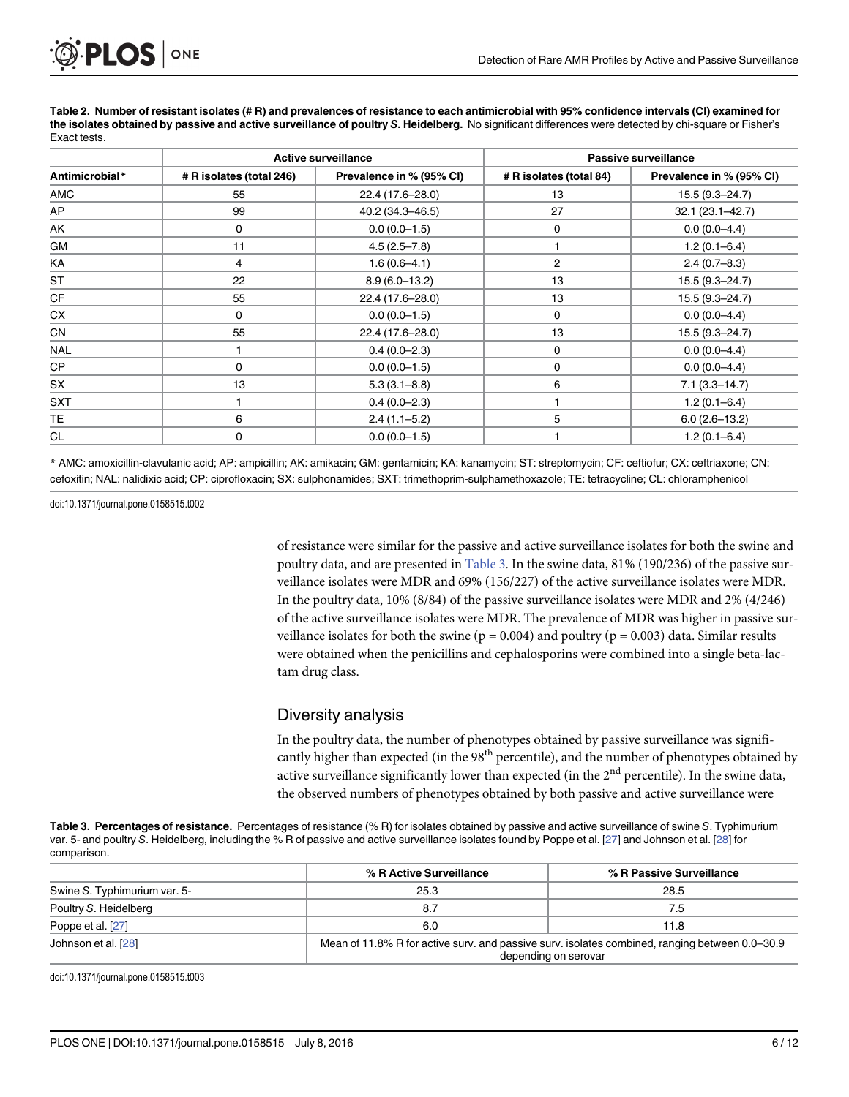<span id="page-5-0"></span>

|                | <b>Active surveillance</b> |                          | <b>Passive surveillance</b> |                          |
|----------------|----------------------------|--------------------------|-----------------------------|--------------------------|
| Antimicrobial* | # R isolates (total 246)   | Prevalence in % (95% CI) | # R isolates (total 84)     | Prevalence in % (95% CI) |
| AMC            | 55                         | 22.4 (17.6-28.0)         | 13                          | $15.5(9.3 - 24.7)$       |
| AP             | 99                         | 40.2 (34.3-46.5)         | 27                          | $32.1(23.1 - 42.7)$      |
| AK             | $\mathbf 0$                | $0.0(0.0-1.5)$           | 0                           | $0.0(0.0-4.4)$           |
| GM             | 11                         | $4.5(2.5 - 7.8)$         | 1                           | $1.2(0.1 - 6.4)$         |
| КA             | $\overline{4}$             | $1.6(0.6 - 4.1)$         | $\overline{2}$              | $2.4(0.7 - 8.3)$         |
| ST             | 22                         | $8.9(6.0-13.2)$          | 13                          | 15.5 (9.3-24.7)          |
| CF             | 55                         | 22.4 (17.6-28.0)         | 13                          | $15.5(9.3 - 24.7)$       |
| СX             | $\mathbf 0$                | $0.0(0.0-1.5)$           | 0                           | $0.0(0.0-4.4)$           |
| CN.            | 55                         | 22.4 (17.6-28.0)         | 13                          | $15.5(9.3 - 24.7)$       |
| <b>NAL</b>     | -1                         | $0.4(0.0 - 2.3)$         | 0                           | $0.0(0.0-4.4)$           |
| CP.            | $\mathbf 0$                | $0.0(0.0-1.5)$           | 0                           | $0.0(0.0-4.4)$           |
| SX             | 13                         | $5.3(3.1 - 8.8)$         | 6                           | $7.1(3.3 - 14.7)$        |
| <b>SXT</b>     |                            | $0.4(0.0-2.3)$           | 1                           | $1.2(0.1 - 6.4)$         |
| TE.            | 6                          | $2.4(1.1-5.2)$           | 5                           | $6.0(2.6 - 13.2)$        |
| CL             | 0                          | $0.0(0.0-1.5)$           | 1                           | $1.2(0.1 - 6.4)$         |

[Table 2.](#page-4-0) Number of resistant isolates (# R) and prevalences of resistance to each antimicrobial with 95% confidence intervals (CI) examined for the isolates obtained by passive and active surveillance of poultry S. Heidelberg. No significant differences were detected by chi-square or Fisher's Exact tests.

\* AMC: amoxicillin-clavulanic acid; AP: ampicillin; AK: amikacin; GM: gentamicin; KA: kanamycin; ST: streptomycin; CF: ceftiofur; CX: ceftriaxone; CN: cefoxitin; NAL: nalidixic acid; CP: ciprofloxacin; SX: sulphonamides; SXT: trimethoprim-sulphamethoxazole; TE: tetracycline; CL: chloramphenicol

doi:10.1371/journal.pone.0158515.t002

of resistance were similar for the passive and active surveillance isolates for both the swine and poultry data, and are presented in Table 3. In the swine data, 81% (190/236) of the passive surveillance isolates were MDR and 69% (156/227) of the active surveillance isolates were MDR. In the poultry data, 10% (8/84) of the passive surveillance isolates were MDR and 2% (4/246) of the active surveillance isolates were MDR. The prevalence of MDR was higher in passive surveillance isolates for both the swine ( $p = 0.004$ ) and poultry ( $p = 0.003$ ) data. Similar results were obtained when the penicillins and cephalosporins were combined into a single beta-lactam drug class.

## Diversity analysis

In the poultry data, the number of phenotypes obtained by passive surveillance was significantly higher than expected (in the 98<sup>th</sup> percentile), and the number of phenotypes obtained by active surveillance significantly lower than expected (in the  $2<sup>nd</sup>$  percentile). In the swine data, the observed numbers of phenotypes obtained by both passive and active surveillance were

Table 3. Percentages of resistance. Percentages of resistance (% R) for isolates obtained by passive and active surveillance of swine S. Typhimurium var. 5- and poultry S. Heidelberg, including the % R of passive and active surveillance isolates found by Poppe et al. [[27\]](#page-11-0) and Johnson et al. [[28\]](#page-11-0) for comparison.

|                              | % R Active Surveillance | % R Passive Surveillance                                                                                               |  |
|------------------------------|-------------------------|------------------------------------------------------------------------------------------------------------------------|--|
| Swine S. Typhimurium var. 5- | 25.3                    | 28.5                                                                                                                   |  |
| Poultry S. Heidelberg        | 8.7                     | 7.5                                                                                                                    |  |
| Poppe et al. [27]            | 6.0                     | 11.8                                                                                                                   |  |
| Johnson et al. [28]          |                         | Mean of 11.8% R for active surv. and passive surv. isolates combined, ranging between 0.0–30.9<br>depending on serovar |  |

doi:10.1371/journal.pone.0158515.t003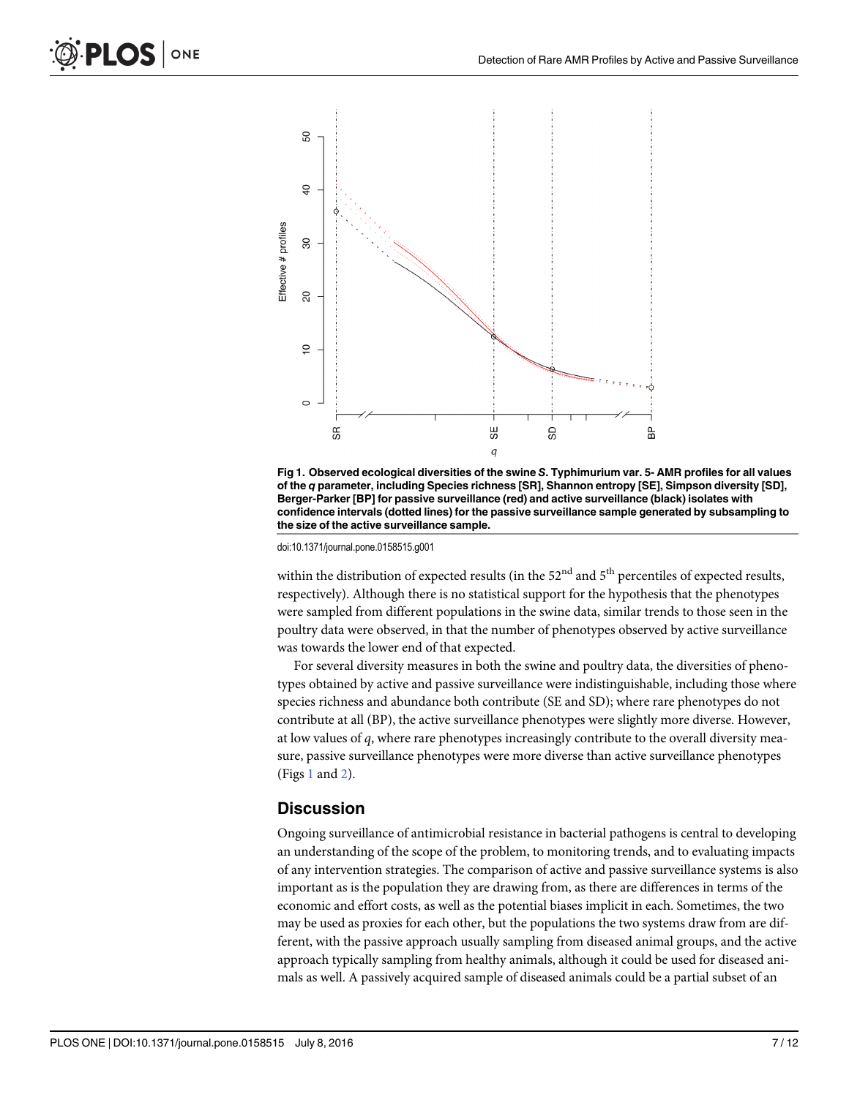<span id="page-6-0"></span>

Fig 1. Observed ecological diversities of the swine S. Typhimurium var. 5- AMR profiles for all values of the q parameter, including Species richness [SR], Shannon entropy [SE], Simpson diversity [SD], Berger-Parker [BP] for passive surveillance (red) and active surveillance (black) isolates with confidence intervals (dotted lines) for the passive surveillance sample generated by subsampling to the size of the active surveillance sample.

doi:10.1371/journal.pone.0158515.g001

within the distribution of expected results (in the  $52<sup>nd</sup>$  and  $5<sup>th</sup>$  percentiles of expected results, respectively). Although there is no statistical support for the hypothesis that the phenotypes were sampled from different populations in the swine data, similar trends to those seen in the poultry data were observed, in that the number of phenotypes observed by active surveillance was towards the lower end of that expected.

For several diversity measures in both the swine and poultry data, the diversities of phenotypes obtained by active and passive surveillance were indistinguishable, including those where species richness and abundance both contribute (SE and SD); where rare phenotypes do not contribute at all (BP), the active surveillance phenotypes were slightly more diverse. However, at low values of q, where rare phenotypes increasingly contribute to the overall diversity measure, passive surveillance phenotypes were more diverse than active surveillance phenotypes (Figs 1 and [2\)](#page-7-0).

#### **Discussion**

Ongoing surveillance of antimicrobial resistance in bacterial pathogens is central to developing an understanding of the scope of the problem, to monitoring trends, and to evaluating impacts of any intervention strategies. The comparison of active and passive surveillance systems is also important as is the population they are drawing from, as there are differences in terms of the economic and effort costs, as well as the potential biases implicit in each. Sometimes, the two may be used as proxies for each other, but the populations the two systems draw from are different, with the passive approach usually sampling from diseased animal groups, and the active approach typically sampling from healthy animals, although it could be used for diseased animals as well. A passively acquired sample of diseased animals could be a partial subset of an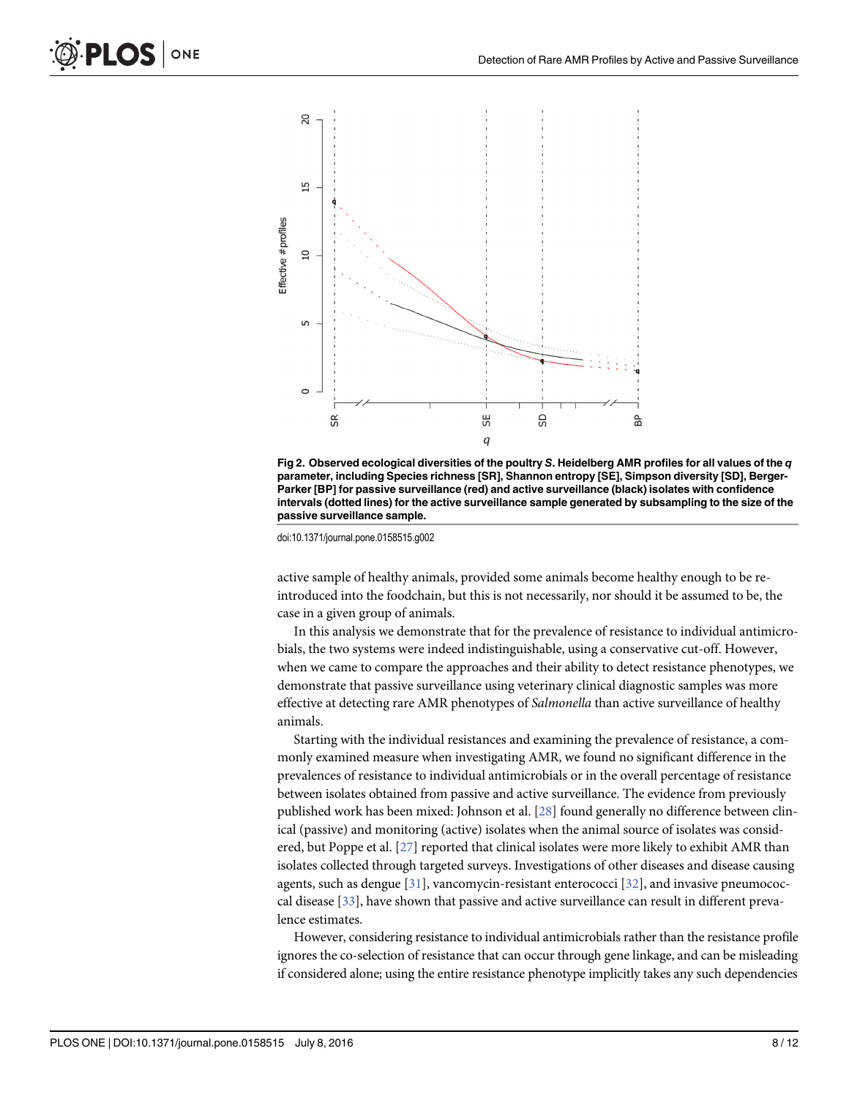<span id="page-7-0"></span>

[Fig 2. O](#page-6-0)bserved ecological diversities of the poultry S. Heidelberg AMR profiles for all values of the  $q$ parameter, including Species richness [SR], Shannon entropy [SE], Simpson diversity [SD], Berger-Parker [BP] for passive surveillance (red) and active surveillance (black) isolates with confidence intervals (dotted lines) for the active surveillance sample generated by subsampling to the size of the passive surveillance sample.

doi:10.1371/journal.pone.0158515.g002

active sample of healthy animals, provided some animals become healthy enough to be reintroduced into the foodchain, but this is not necessarily, nor should it be assumed to be, the case in a given group of animals.

In this analysis we demonstrate that for the prevalence of resistance to individual antimicrobials, the two systems were indeed indistinguishable, using a conservative cut-off. However, when we came to compare the approaches and their ability to detect resistance phenotypes, we demonstrate that passive surveillance using veterinary clinical diagnostic samples was more effective at detecting rare AMR phenotypes of Salmonella than active surveillance of healthy animals.

Starting with the individual resistances and examining the prevalence of resistance, a commonly examined measure when investigating AMR, we found no significant difference in the prevalences of resistance to individual antimicrobials or in the overall percentage of resistance between isolates obtained from passive and active surveillance. The evidence from previously published work has been mixed: Johnson et al. [[28](#page-11-0)] found generally no difference between clinical (passive) and monitoring (active) isolates when the animal source of isolates was considered, but Poppe et al. [[27](#page-11-0)] reported that clinical isolates were more likely to exhibit AMR than isolates collected through targeted surveys. Investigations of other diseases and disease causing agents, such as dengue  $[31]$  $[31]$  $[31]$ , vancomycin-resistant enterococci  $[32]$ , and invasive pneumococcal disease [[33](#page-11-0)], have shown that passive and active surveillance can result in different prevalence estimates.

However, considering resistance to individual antimicrobials rather than the resistance profile ignores the co-selection of resistance that can occur through gene linkage, and can be misleading if considered alone; using the entire resistance phenotype implicitly takes any such dependencies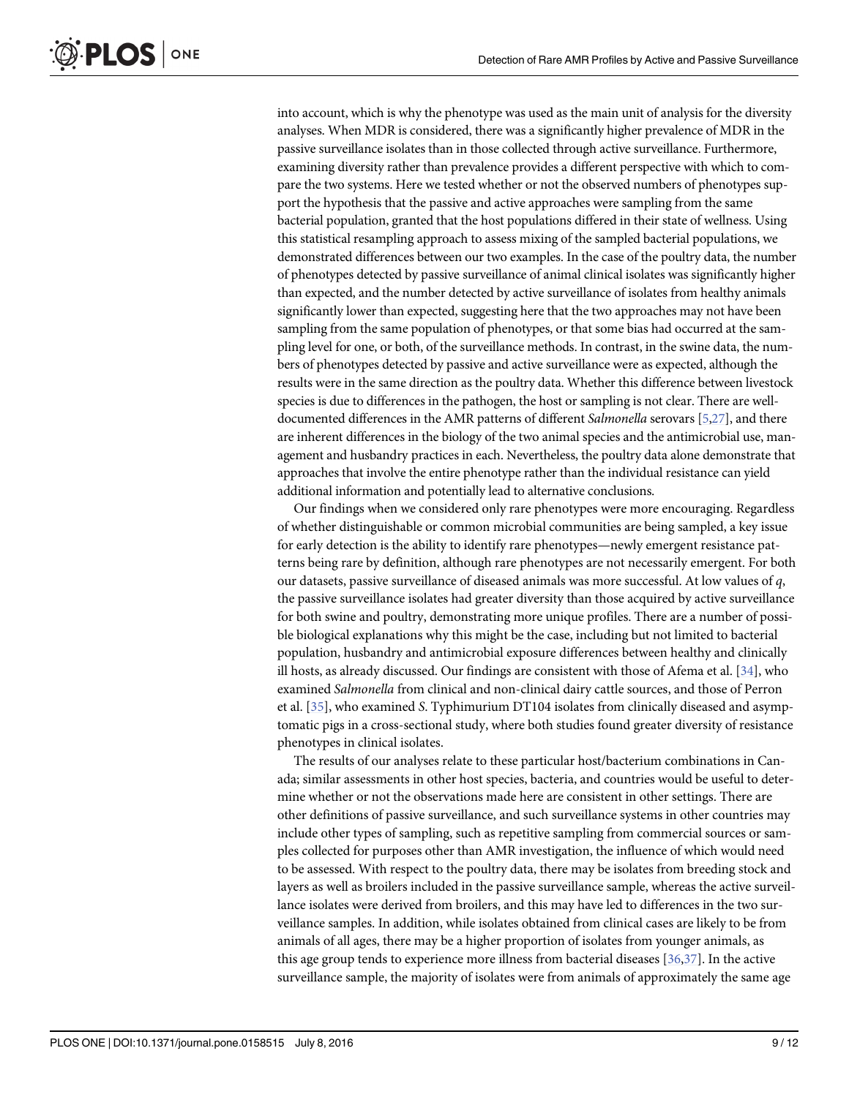<span id="page-8-0"></span>into account, which is why the phenotype was used as the main unit of analysis for the diversity analyses. When MDR is considered, there was a significantly higher prevalence of MDR in the passive surveillance isolates than in those collected through active surveillance. Furthermore, examining diversity rather than prevalence provides a different perspective with which to compare the two systems. Here we tested whether or not the observed numbers of phenotypes support the hypothesis that the passive and active approaches were sampling from the same bacterial population, granted that the host populations differed in their state of wellness. Using this statistical resampling approach to assess mixing of the sampled bacterial populations, we demonstrated differences between our two examples. In the case of the poultry data, the number of phenotypes detected by passive surveillance of animal clinical isolates was significantly higher than expected, and the number detected by active surveillance of isolates from healthy animals significantly lower than expected, suggesting here that the two approaches may not have been sampling from the same population of phenotypes, or that some bias had occurred at the sampling level for one, or both, of the surveillance methods. In contrast, in the swine data, the numbers of phenotypes detected by passive and active surveillance were as expected, although the results were in the same direction as the poultry data. Whether this difference between livestock species is due to differences in the pathogen, the host or sampling is not clear. There are welldocumented differences in the AMR patterns of different Salmonella serovars [[5](#page-10-0)[,27\]](#page-11-0), and there are inherent differences in the biology of the two animal species and the antimicrobial use, management and husbandry practices in each. Nevertheless, the poultry data alone demonstrate that approaches that involve the entire phenotype rather than the individual resistance can yield additional information and potentially lead to alternative conclusions.

Our findings when we considered only rare phenotypes were more encouraging. Regardless of whether distinguishable or common microbial communities are being sampled, a key issue for early detection is the ability to identify rare phenotypes—newly emergent resistance patterns being rare by definition, although rare phenotypes are not necessarily emergent. For both our datasets, passive surveillance of diseased animals was more successful. At low values of q, the passive surveillance isolates had greater diversity than those acquired by active surveillance for both swine and poultry, demonstrating more unique profiles. There are a number of possible biological explanations why this might be the case, including but not limited to bacterial population, husbandry and antimicrobial exposure differences between healthy and clinically ill hosts, as already discussed. Our findings are consistent with those of Afema et al. [\[34\]](#page-11-0), who examined Salmonella from clinical and non-clinical dairy cattle sources, and those of Perron et al. [\[35\]](#page-11-0), who examined S. Typhimurium DT104 isolates from clinically diseased and asymptomatic pigs in a cross-sectional study, where both studies found greater diversity of resistance phenotypes in clinical isolates.

The results of our analyses relate to these particular host/bacterium combinations in Canada; similar assessments in other host species, bacteria, and countries would be useful to determine whether or not the observations made here are consistent in other settings. There are other definitions of passive surveillance, and such surveillance systems in other countries may include other types of sampling, such as repetitive sampling from commercial sources or samples collected for purposes other than AMR investigation, the influence of which would need to be assessed. With respect to the poultry data, there may be isolates from breeding stock and layers as well as broilers included in the passive surveillance sample, whereas the active surveillance isolates were derived from broilers, and this may have led to differences in the two surveillance samples. In addition, while isolates obtained from clinical cases are likely to be from animals of all ages, there may be a higher proportion of isolates from younger animals, as this age group tends to experience more illness from bacterial diseases [[36,37\]](#page-11-0). In the active surveillance sample, the majority of isolates were from animals of approximately the same age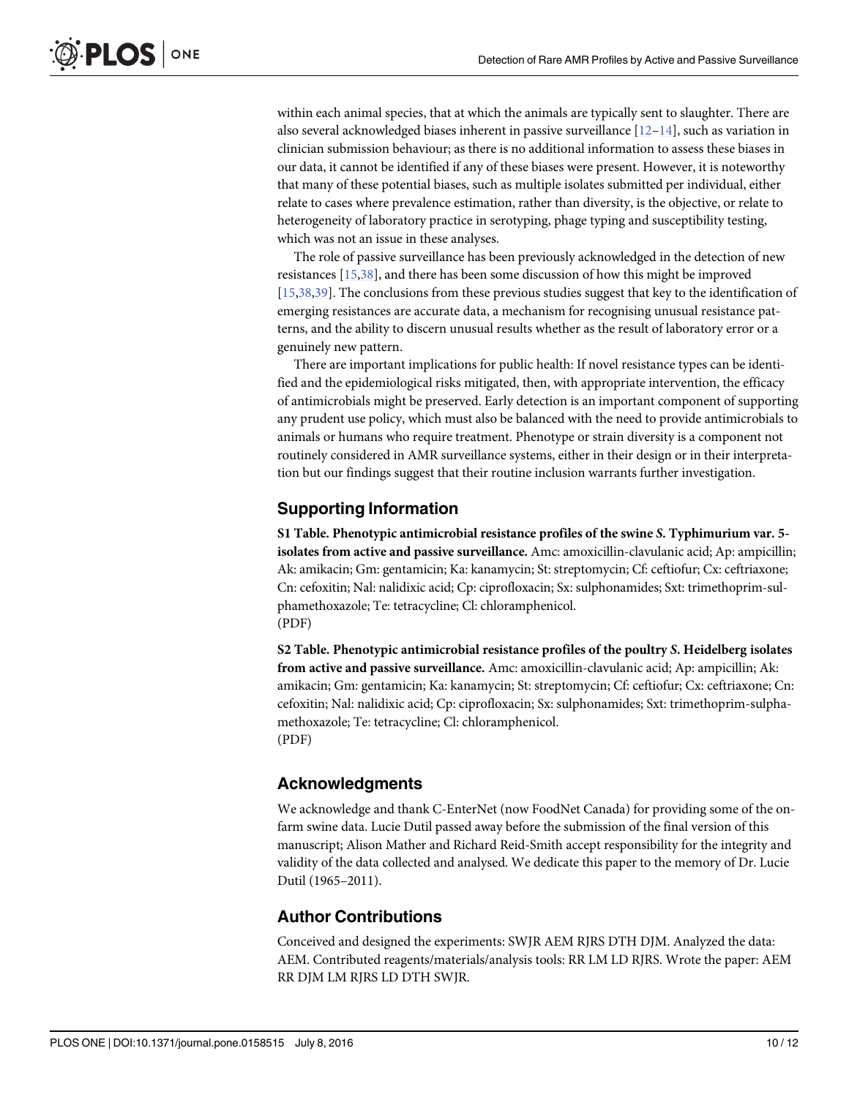<span id="page-9-0"></span>within each animal species, that at which the animals are typically sent to slaughter. There are also several acknowledged biases inherent in passive surveillance  $[12-14]$  $[12-14]$  $[12-14]$  $[12-14]$  $[12-14]$ , such as variation in clinician submission behaviour; as there is no additional information to assess these biases in our data, it cannot be identified if any of these biases were present. However, it is noteworthy that many of these potential biases, such as multiple isolates submitted per individual, either relate to cases where prevalence estimation, rather than diversity, is the objective, or relate to heterogeneity of laboratory practice in serotyping, phage typing and susceptibility testing, which was not an issue in these analyses.

The role of passive surveillance has been previously acknowledged in the detection of new resistances [\[15,](#page-10-0)[38\]](#page-11-0), and there has been some discussion of how this might be improved [\[15](#page-10-0)[,38,39\]](#page-11-0). The conclusions from these previous studies suggest that key to the identification of emerging resistances are accurate data, a mechanism for recognising unusual resistance patterns, and the ability to discern unusual results whether as the result of laboratory error or a genuinely new pattern.

There are important implications for public health: If novel resistance types can be identified and the epidemiological risks mitigated, then, with appropriate intervention, the efficacy of antimicrobials might be preserved. Early detection is an important component of supporting any prudent use policy, which must also be balanced with the need to provide antimicrobials to animals or humans who require treatment. Phenotype or strain diversity is a component not routinely considered in AMR surveillance systems, either in their design or in their interpretation but our findings suggest that their routine inclusion warrants further investigation.

# Supporting Information

[S1 Table](http://www.plosone.org/article/fetchSingleRepresentation.action?uri=info:doi/10.1371/journal.pone.0158515.s001). Phenotypic antimicrobial resistance profiles of the swine S. Typhimurium var. 5 isolates from active and passive surveillance. Amc: amoxicillin-clavulanic acid; Ap: ampicillin; Ak: amikacin; Gm: gentamicin; Ka: kanamycin; St: streptomycin; Cf: ceftiofur; Cx: ceftriaxone; Cn: cefoxitin; Nal: nalidixic acid; Cp: ciprofloxacin; Sx: sulphonamides; Sxt: trimethoprim-sulphamethoxazole; Te: tetracycline; Cl: chloramphenicol. (PDF)

[S2 Table](http://www.plosone.org/article/fetchSingleRepresentation.action?uri=info:doi/10.1371/journal.pone.0158515.s002). Phenotypic antimicrobial resistance profiles of the poultry S. Heidelberg isolates from active and passive surveillance. Amc: amoxicillin-clavulanic acid; Ap: ampicillin; Ak: amikacin; Gm: gentamicin; Ka: kanamycin; St: streptomycin; Cf: ceftiofur; Cx: ceftriaxone; Cn: cefoxitin; Nal: nalidixic acid; Cp: ciprofloxacin; Sx: sulphonamides; Sxt: trimethoprim-sulphamethoxazole; Te: tetracycline; Cl: chloramphenicol. (PDF)

# Acknowledgments

We acknowledge and thank C-EnterNet (now FoodNet Canada) for providing some of the onfarm swine data. Lucie Dutil passed away before the submission of the final version of this manuscript; Alison Mather and Richard Reid-Smith accept responsibility for the integrity and validity of the data collected and analysed. We dedicate this paper to the memory of Dr. Lucie Dutil (1965–2011).

# Author Contributions

Conceived and designed the experiments: SWJR AEM RJRS DTH DJM. Analyzed the data: AEM. Contributed reagents/materials/analysis tools: RR LM LD RJRS. Wrote the paper: AEM RR DJM LM RJRS LD DTH SWJR.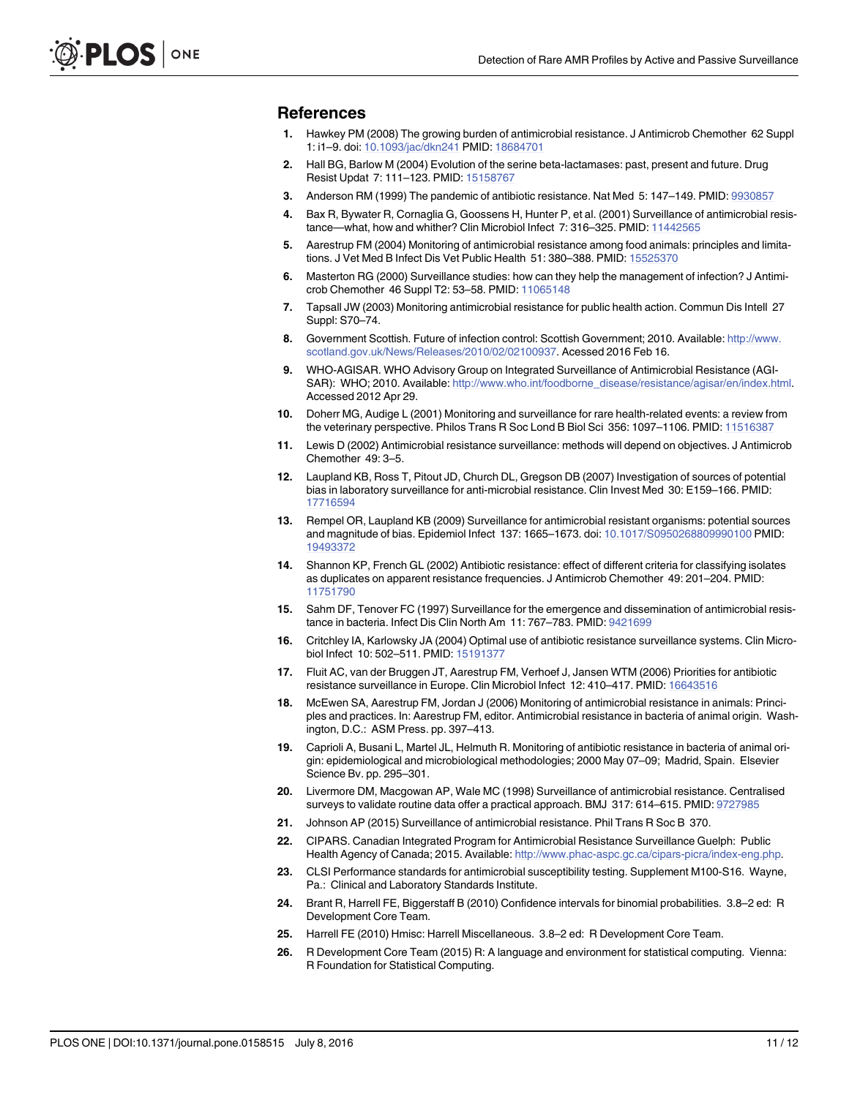#### <span id="page-10-0"></span>References

- [1.](#page-0-0) Hawkey PM (2008) The growing burden of antimicrobial resistance. J Antimicrob Chemother 62 Suppl 1: i1–9. doi: [10.1093/jac/dkn241](http://dx.doi.org/10.1093/jac/dkn241) PMID: [18684701](http://www.ncbi.nlm.nih.gov/pubmed/18684701)
- [2.](#page-1-0) Hall BG, Barlow M (2004) Evolution of the serine beta-lactamases: past, present and future. Drug Resist Updat 7: 111–123. PMID: [15158767](http://www.ncbi.nlm.nih.gov/pubmed/15158767)
- [3.](#page-1-0) Anderson RM (1999) The pandemic of antibiotic resistance. Nat Med 5: 147-149. PMID: [9930857](http://www.ncbi.nlm.nih.gov/pubmed/9930857)
- [4.](#page-1-0) Bax R, Bywater R, Cornaglia G, Goossens H, Hunter P, et al. (2001) Surveillance of antimicrobial resis-tance—what, how and whither? Clin Microbiol Infect 7: 316-325. PMID: [11442565](http://www.ncbi.nlm.nih.gov/pubmed/11442565)
- [5.](#page-8-0) Aarestrup FM (2004) Monitoring of antimicrobial resistance among food animals: principles and limita-tions. J Vet Med B Infect Dis Vet Public Health 51: 380-388. PMID: [15525370](http://www.ncbi.nlm.nih.gov/pubmed/15525370)
- 6. Masterton RG (2000) Surveillance studies: how can they help the management of infection? J Antimi-crob Chemother 46 Suppl T2: 53-58. PMID: [11065148](http://www.ncbi.nlm.nih.gov/pubmed/11065148)
- [7.](#page-1-0) Tapsall JW (2003) Monitoring antimicrobial resistance for public health action. Commun Dis Intell 27 Suppl: S70–74.
- [8.](#page-1-0) Government Scottish. Future of infection control: Scottish Government; 2010. Available: [http://www.](http://www.scotland.gov.uk/News/Releases/2010/02/02100937) [scotland.gov.uk/News/Releases/2010/02/02100937](http://www.scotland.gov.uk/News/Releases/2010/02/02100937). Acessed 2016 Feb 16.
- [9.](#page-1-0) WHO-AGISAR. WHO Advisory Group on Integrated Surveillance of Antimicrobial Resistance (AGI-SAR): WHO; 2010. Available: [http://www.who.int/foodborne\\_disease/resistance/agisar/en/index.html.](http://www.who.int/foodborne_disease/resistance/agisar/en/index.html) Accessed 2012 Apr 29.
- [10.](#page-1-0) Doherr MG, Audige L (2001) Monitoring and surveillance for rare health-related events: a review from the veterinary perspective. Philos Trans R Soc Lond B Biol Sci 356: 1097-1106. PMID: [11516387](http://www.ncbi.nlm.nih.gov/pubmed/11516387)
- [11.](#page-1-0) Lewis D (2002) Antimicrobial resistance surveillance: methods will depend on objectives. J Antimicrob Chemother 49: 3–5.
- [12.](#page-1-0) Laupland KB, Ross T, Pitout JD, Church DL, Gregson DB (2007) Investigation of sources of potential bias in laboratory surveillance for anti-microbial resistance. Clin Invest Med 30: E159–166. PMID: [17716594](http://www.ncbi.nlm.nih.gov/pubmed/17716594)
- [13.](#page-1-0) Rempel OR, Laupland KB (2009) Surveillance for antimicrobial resistant organisms: potential sources and magnitude of bias. Epidemiol Infect 137: 1665–1673. doi: [10.1017/S0950268809990100](http://dx.doi.org/10.1017/S0950268809990100) PMID: [19493372](http://www.ncbi.nlm.nih.gov/pubmed/19493372)
- [14.](#page-1-0) Shannon KP, French GL (2002) Antibiotic resistance: effect of different criteria for classifying isolates as duplicates on apparent resistance frequencies. J Antimicrob Chemother 49: 201–204. PMID: [11751790](http://www.ncbi.nlm.nih.gov/pubmed/11751790)
- [15.](#page-1-0) Sahm DF, Tenover FC (1997) Surveillance for the emergence and dissemination of antimicrobial resistance in bacteria. Infect Dis Clin North Am 11: 767–783. PMID: [9421699](http://www.ncbi.nlm.nih.gov/pubmed/9421699)
- 16. Critchley IA, Karlowsky JA (2004) Optimal use of antibiotic resistance surveillance systems. Clin Microbiol Infect 10: 502–511. PMID: [15191377](http://www.ncbi.nlm.nih.gov/pubmed/15191377)
- 17. Fluit AC, van der Bruggen JT, Aarestrup FM, Verhoef J, Jansen WTM (2006) Priorities for antibiotic resistance surveillance in Europe. Clin Microbiol Infect 12: 410-417. PMID: [16643516](http://www.ncbi.nlm.nih.gov/pubmed/16643516)
- 18. McEwen SA, Aarestrup FM, Jordan J (2006) Monitoring of antimicrobial resistance in animals: Principles and practices. In: Aarestrup FM, editor. Antimicrobial resistance in bacteria of animal origin. Washington, D.C.: ASM Press. pp. 397–413.
- 19. Caprioli A, Busani L, Martel JL, Helmuth R. Monitoring of antibiotic resistance in bacteria of animal origin: epidemiological and microbiological methodologies; 2000 May 07–09; Madrid, Spain. Elsevier Science Bv. pp. 295–301.
- 20. Livermore DM, Macgowan AP, Wale MC (1998) Surveillance of antimicrobial resistance. Centralised surveys to validate routine data offer a practical approach. BMJ 317: 614–615. PMID: [9727985](http://www.ncbi.nlm.nih.gov/pubmed/9727985)
- [21.](#page-1-0) Johnson AP (2015) Surveillance of antimicrobial resistance. Phil Trans R Soc B 370.
- [22.](#page-1-0) CIPARS. Canadian Integrated Program for Antimicrobial Resistance Surveillance Guelph: Public Health Agency of Canada; 2015. Available: <http://www.phac-aspc.gc.ca/cipars-picra/index-eng.php>.
- [23.](#page-2-0) CLSI Performance standards for antimicrobial susceptibility testing. Supplement M100-S16. Wayne, Pa.: Clinical and Laboratory Standards Institute.
- [24.](#page-2-0) Brant R, Harrell FE, Biggerstaff B (2010) Confidence intervals for binomial probabilities. 3.8–2 ed: R Development Core Team.
- 25. Harrell FE (2010) Hmisc: Harrell Miscellaneous. 3.8–2 ed: R Development Core Team.
- [26.](#page-2-0) R Development Core Team (2015) R: A language and environment for statistical computing. Vienna: R Foundation for Statistical Computing.